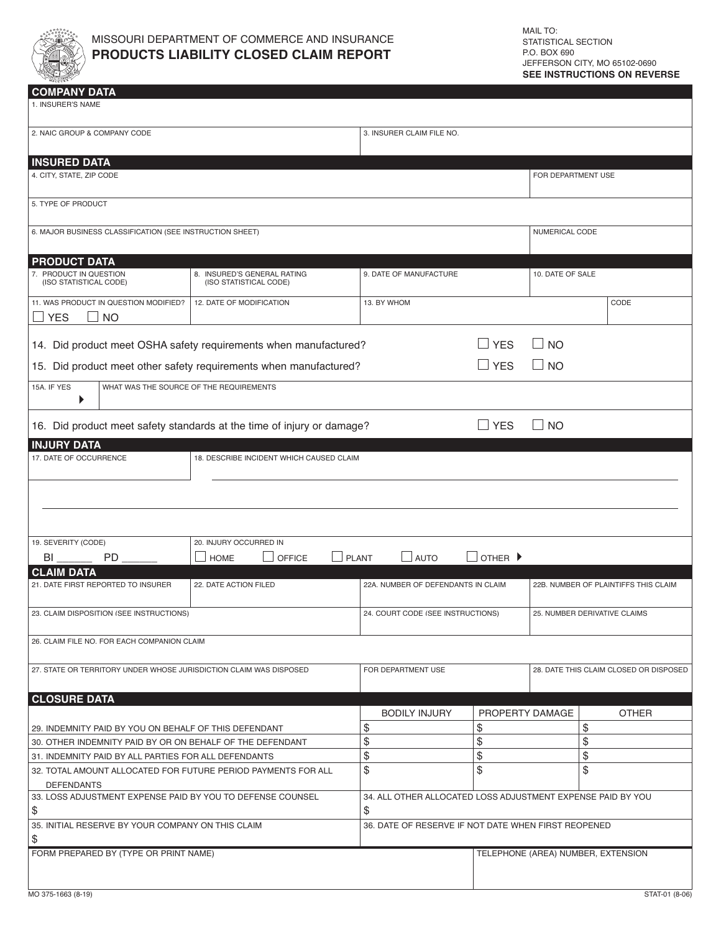

| <b>COMPANY DATA</b>                                                |                                                                        |                                                                   |                             |                                      |                                        |  |
|--------------------------------------------------------------------|------------------------------------------------------------------------|-------------------------------------------------------------------|-----------------------------|--------------------------------------|----------------------------------------|--|
| 1. INSURER'S NAME                                                  |                                                                        |                                                                   |                             |                                      |                                        |  |
| 2. NAIC GROUP & COMPANY CODE                                       |                                                                        | 3. INSURER CLAIM FILE NO.                                         |                             |                                      |                                        |  |
|                                                                    |                                                                        |                                                                   |                             |                                      |                                        |  |
| <b>INSURED DATA</b>                                                |                                                                        |                                                                   |                             |                                      |                                        |  |
| 4. CITY, STATE, ZIP CODE                                           |                                                                        |                                                                   |                             | FOR DEPARTMENT USE                   |                                        |  |
| 5. TYPE OF PRODUCT                                                 |                                                                        |                                                                   |                             |                                      |                                        |  |
| 6. MAJOR BUSINESS CLASSIFICATION (SEE INSTRUCTION SHEET)           |                                                                        |                                                                   |                             | NUMERICAL CODE                       |                                        |  |
|                                                                    |                                                                        |                                                                   |                             |                                      |                                        |  |
| <b>PRODUCT DATA</b><br>7. PRODUCT IN QUESTION                      | 8. INSURED'S GENERAL RATING                                            | 9. DATE OF MANUFACTURE                                            |                             | 10. DATE OF SALE                     |                                        |  |
| (ISO STATISTICAL CODE)                                             | (ISO STATISTICAL CODE)                                                 |                                                                   |                             |                                      |                                        |  |
| 11. WAS PRODUCT IN QUESTION MODIFIED?                              | 12. DATE OF MODIFICATION                                               | 13. BY WHOM                                                       |                             |                                      | CODE                                   |  |
| <b>YES</b><br>$\Box$ No                                            |                                                                        |                                                                   |                             |                                      |                                        |  |
| 14. Did product meet OSHA safety requirements when manufactured?   |                                                                        | $\Box$ YES                                                        | $\Box$ NO                   |                                      |                                        |  |
| 15. Did product meet other safety requirements when manufactured?  |                                                                        |                                                                   | $\Box$ YES                  | $\Box$ NO                            |                                        |  |
| 15A. IF YES<br>WHAT WAS THE SOURCE OF THE REQUIREMENTS             |                                                                        |                                                                   |                             |                                      |                                        |  |
| ▶                                                                  |                                                                        |                                                                   |                             |                                      |                                        |  |
|                                                                    | 16. Did product meet safety standards at the time of injury or damage? |                                                                   | $\Box$ YES                  | $\Box$ No                            |                                        |  |
| <b>INJURY DATA</b>                                                 |                                                                        |                                                                   |                             |                                      |                                        |  |
| 17. DATE OF OCCURRENCE                                             | 18. DESCRIBE INCIDENT WHICH CAUSED CLAIM                               |                                                                   |                             |                                      |                                        |  |
|                                                                    |                                                                        |                                                                   |                             |                                      |                                        |  |
|                                                                    |                                                                        |                                                                   |                             |                                      |                                        |  |
|                                                                    |                                                                        |                                                                   |                             |                                      |                                        |  |
|                                                                    |                                                                        |                                                                   |                             |                                      |                                        |  |
| 19. SEVERITY (CODE)                                                | 20. INJURY OCCURRED IN                                                 |                                                                   |                             |                                      |                                        |  |
| PD.<br>BL                                                          | <b>OFFICE</b><br><b>HOME</b>                                           | <b>PLANT</b><br>$\sqcup$ auto                                     | OTHER $\blacktriangleright$ |                                      |                                        |  |
| <b>CLAIM DATA</b>                                                  |                                                                        |                                                                   |                             |                                      |                                        |  |
| 21. DATE FIRST REPORTED TO INSURER                                 | 22. DATE ACTION FILED                                                  | 22A. NUMBER OF DEFENDANTS IN CLAIM                                |                             | 22B. NUMBER OF PLAINTIFFS THIS CLAIM |                                        |  |
| 23. CLAIM DISPOSITION (SEE INSTRUCTIONS)                           |                                                                        | 24. COURT CODE (SEE INSTRUCTIONS)                                 |                             | 25. NUMBER DERIVATIVE CLAIMS         |                                        |  |
|                                                                    |                                                                        |                                                                   |                             |                                      |                                        |  |
| 26. CLAIM FILE NO. FOR EACH COMPANION CLAIM                        |                                                                        |                                                                   |                             |                                      |                                        |  |
| 27. STATE OR TERRITORY UNDER WHOSE JURISDICTION CLAIM WAS DISPOSED |                                                                        | FOR DEPARTMENT USE                                                |                             |                                      | 28. DATE THIS CLAIM CLOSED OR DISPOSED |  |
|                                                                    |                                                                        |                                                                   |                             |                                      |                                        |  |
| <b>CLOSURE DATA</b>                                                |                                                                        | <b>BODILY INJURY</b>                                              |                             | PROPERTY DAMAGE                      | <b>OTHER</b>                           |  |
| 29. INDEMNITY PAID BY YOU ON BEHALF OF THIS DEFENDANT              |                                                                        | \$                                                                | \$                          |                                      | \$                                     |  |
| 30. OTHER INDEMNITY PAID BY OR ON BEHALF OF THE DEFENDANT          |                                                                        | \$                                                                | \$                          |                                      | \$                                     |  |
| 31. INDEMNITY PAID BY ALL PARTIES FOR ALL DEFENDANTS               |                                                                        | \$                                                                | \$                          |                                      | \$                                     |  |
| 32. TOTAL AMOUNT ALLOCATED FOR FUTURE PERIOD PAYMENTS FOR ALL      |                                                                        | \$                                                                | \$                          |                                      | \$                                     |  |
| <b>DEFENDANTS</b>                                                  |                                                                        |                                                                   |                             |                                      |                                        |  |
| 33. LOSS ADJUSTMENT EXPENSE PAID BY YOU TO DEFENSE COUNSEL<br>\$   |                                                                        | 34. ALL OTHER ALLOCATED LOSS ADJUSTMENT EXPENSE PAID BY YOU<br>\$ |                             |                                      |                                        |  |
| 35. INITIAL RESERVE BY YOUR COMPANY ON THIS CLAIM                  |                                                                        | 36. DATE OF RESERVE IF NOT DATE WHEN FIRST REOPENED               |                             |                                      |                                        |  |
| \$                                                                 |                                                                        |                                                                   |                             |                                      |                                        |  |

FORM PREPARED BY (TYPE OR PRINT NAME) the state of the principal property of the principal of the principal property of the principal property of the principal property of the principal property of the principal property o